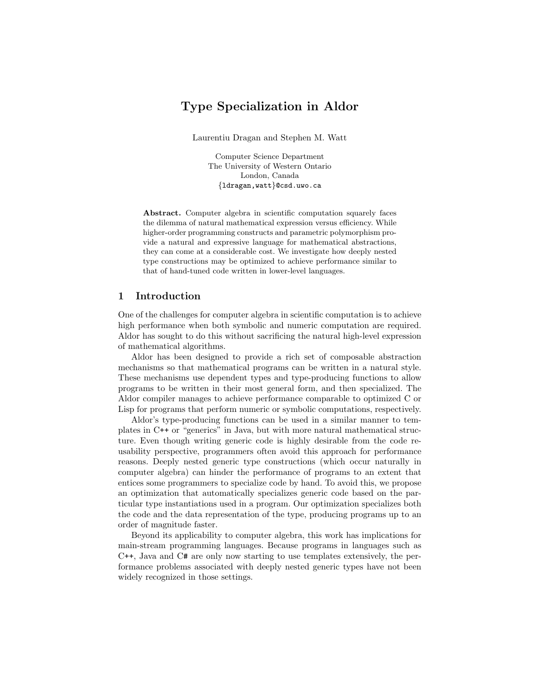# Type Specialization in Aldor

Laurentiu Dragan and Stephen M. Watt

Computer Science Department The University of Western Ontario London, Canada {ldragan,watt}@csd.uwo.ca

Abstract. Computer algebra in scientific computation squarely faces the dilemma of natural mathematical expression versus efficiency. While higher-order programming constructs and parametric polymorphism provide a natural and expressive language for mathematical abstractions, they can come at a considerable cost. We investigate how deeply nested type constructions may be optimized to achieve performance similar to that of hand-tuned code written in lower-level languages.

### 1 Introduction

One of the challenges for computer algebra in scientific computation is to achieve high performance when both symbolic and numeric computation are required. Aldor has sought to do this without sacrificing the natural high-level expression of mathematical algorithms.

Aldor has been designed to provide a rich set of composable abstraction mechanisms so that mathematical programs can be written in a natural style. These mechanisms use dependent types and type-producing functions to allow programs to be written in their most general form, and then specialized. The Aldor compiler manages to achieve performance comparable to optimized C or Lisp for programs that perform numeric or symbolic computations, respectively.

Aldor's type-producing functions can be used in a similar manner to templates in C++ or "generics" in Java, but with more natural mathematical structure. Even though writing generic code is highly desirable from the code reusability perspective, programmers often avoid this approach for performance reasons. Deeply nested generic type constructions (which occur naturally in computer algebra) can hinder the performance of programs to an extent that entices some programmers to specialize code by hand. To avoid this, we propose an optimization that automatically specializes generic code based on the particular type instantiations used in a program. Our optimization specializes both the code and the data representation of the type, producing programs up to an order of magnitude faster.

Beyond its applicability to computer algebra, this work has implications for main-stream programming languages. Because programs in languages such as C++, Java and C# are only now starting to use templates extensively, the performance problems associated with deeply nested generic types have not been widely recognized in those settings.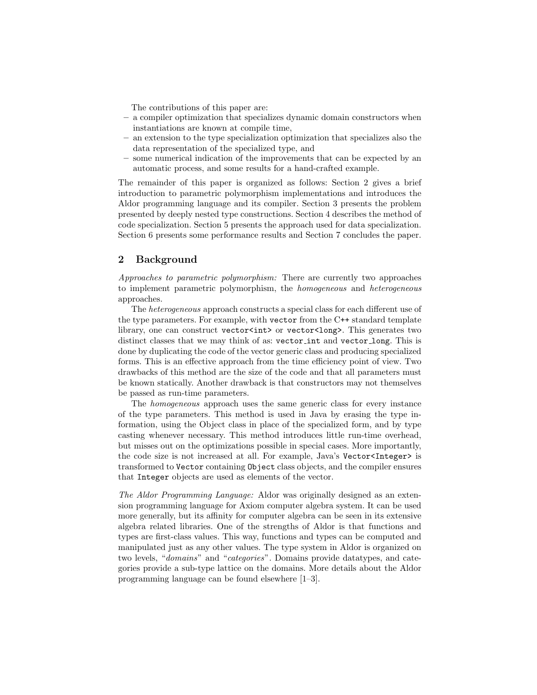The contributions of this paper are:

- a compiler optimization that specializes dynamic domain constructors when instantiations are known at compile time,
- an extension to the type specialization optimization that specializes also the data representation of the specialized type, and
- some numerical indication of the improvements that can be expected by an automatic process, and some results for a hand-crafted example.

The remainder of this paper is organized as follows: Section 2 gives a brief introduction to parametric polymorphism implementations and introduces the Aldor programming language and its compiler. Section 3 presents the problem presented by deeply nested type constructions. Section 4 describes the method of code specialization. Section 5 presents the approach used for data specialization. Section 6 presents some performance results and Section 7 concludes the paper.

## 2 Background

Approaches to parametric polymorphism: There are currently two approaches to implement parametric polymorphism, the homogeneous and heterogeneous approaches.

The heterogeneous approach constructs a special class for each different use of the type parameters. For example, with vector from the C++ standard template library, one can construct vector int> or vector <loss long>. This generates two distinct classes that we may think of as: vector\_int and vector\_long. This is done by duplicating the code of the vector generic class and producing specialized forms. This is an effective approach from the time efficiency point of view. Two drawbacks of this method are the size of the code and that all parameters must be known statically. Another drawback is that constructors may not themselves be passed as run-time parameters.

The homogeneous approach uses the same generic class for every instance of the type parameters. This method is used in Java by erasing the type information, using the Object class in place of the specialized form, and by type casting whenever necessary. This method introduces little run-time overhead, but misses out on the optimizations possible in special cases. More importantly, the code size is not increased at all. For example, Java's Vector<Integer> is transformed to Vector containing Object class objects, and the compiler ensures that Integer objects are used as elements of the vector.

The Aldor Programming Language: Aldor was originally designed as an extension programming language for Axiom computer algebra system. It can be used more generally, but its affinity for computer algebra can be seen in its extensive algebra related libraries. One of the strengths of Aldor is that functions and types are first-class values. This way, functions and types can be computed and manipulated just as any other values. The type system in Aldor is organized on two levels, "domains" and "categories". Domains provide datatypes, and categories provide a sub-type lattice on the domains. More details about the Aldor programming language can be found elsewhere [1–3].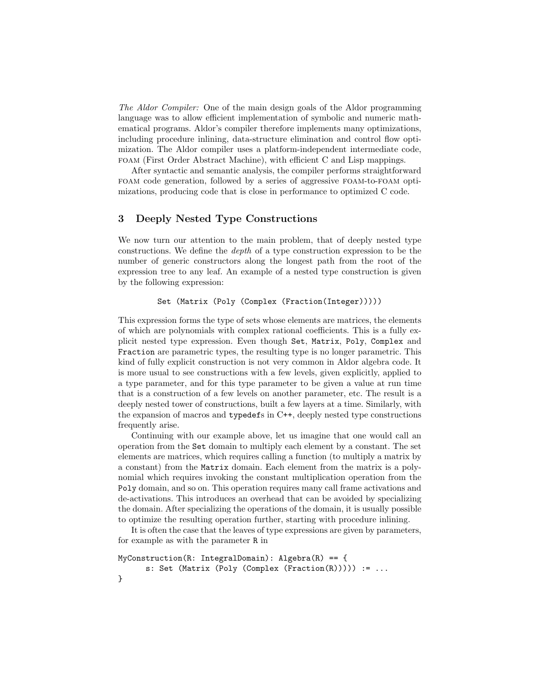The Aldor Compiler: One of the main design goals of the Aldor programming language was to allow efficient implementation of symbolic and numeric mathematical programs. Aldor's compiler therefore implements many optimizations, including procedure inlining, data-structure elimination and control flow optimization. The Aldor compiler uses a platform-independent intermediate code, foam (First Order Abstract Machine), with efficient C and Lisp mappings.

After syntactic and semantic analysis, the compiler performs straightforward foam code generation, followed by a series of aggressive foam-to-foam optimizations, producing code that is close in performance to optimized C code.

## 3 Deeply Nested Type Constructions

We now turn our attention to the main problem, that of deeply nested type constructions. We define the depth of a type construction expression to be the number of generic constructors along the longest path from the root of the expression tree to any leaf. An example of a nested type construction is given by the following expression:

### Set (Matrix (Poly (Complex (Fraction(Integer)))))

This expression forms the type of sets whose elements are matrices, the elements of which are polynomials with complex rational coefficients. This is a fully explicit nested type expression. Even though Set, Matrix, Poly, Complex and Fraction are parametric types, the resulting type is no longer parametric. This kind of fully explicit construction is not very common in Aldor algebra code. It is more usual to see constructions with a few levels, given explicitly, applied to a type parameter, and for this type parameter to be given a value at run time that is a construction of a few levels on another parameter, etc. The result is a deeply nested tower of constructions, built a few layers at a time. Similarly, with the expansion of macros and typedefs in C++, deeply nested type constructions frequently arise.

Continuing with our example above, let us imagine that one would call an operation from the Set domain to multiply each element by a constant. The set elements are matrices, which requires calling a function (to multiply a matrix by a constant) from the Matrix domain. Each element from the matrix is a polynomial which requires invoking the constant multiplication operation from the Poly domain, and so on. This operation requires many call frame activations and de-activations. This introduces an overhead that can be avoided by specializing the domain. After specializing the operations of the domain, it is usually possible to optimize the resulting operation further, starting with procedure inlining.

It is often the case that the leaves of type expressions are given by parameters, for example as with the parameter R in

```
MyConstruction (R: IntegralDomain): Algebra(R) == {s: Set (Matrix (Poly (Complex (Fraction(R))))) := ...
}
```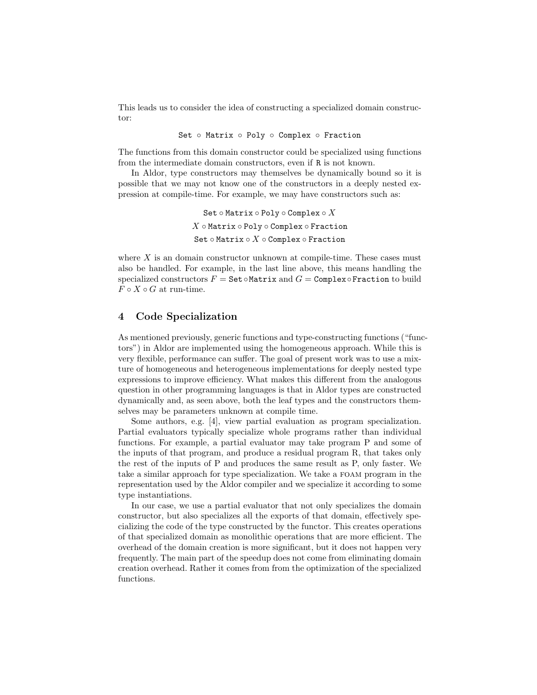This leads us to consider the idea of constructing a specialized domain constructor:

$$
\mathtt{Set}~\circ~\mathtt{Matrix}~\circ~\mathtt{Poly}~\circ~\mathtt{Complex}~\circ~\mathtt{Fraction}
$$

The functions from this domain constructor could be specialized using functions from the intermediate domain constructors, even if R is not known.

In Aldor, type constructors may themselves be dynamically bound so it is possible that we may not know one of the constructors in a deeply nested expression at compile-time. For example, we may have constructors such as:

```
Set \circ Matrix \circ Poly \circ Complex \circ X
X \circ Matrix \circ Poly \circ Complex \circ Fraction
Set \circ Matrix \circ X \circ Complex \circ Fraction
```
where  $X$  is an domain constructor unknown at compile-time. These cases must also be handled. For example, in the last line above, this means handling the specialized constructors  $F =$  Set  $\circ$ Matrix and  $G =$  Complex  $\circ$  Fraction to build  $F \circ X \circ G$  at run-time.

## 4 Code Specialization

As mentioned previously, generic functions and type-constructing functions ("functors") in Aldor are implemented using the homogeneous approach. While this is very flexible, performance can suffer. The goal of present work was to use a mixture of homogeneous and heterogeneous implementations for deeply nested type expressions to improve efficiency. What makes this different from the analogous question in other programming languages is that in Aldor types are constructed dynamically and, as seen above, both the leaf types and the constructors themselves may be parameters unknown at compile time.

Some authors, e.g. [4], view partial evaluation as program specialization. Partial evaluators typically specialize whole programs rather than individual functions. For example, a partial evaluator may take program P and some of the inputs of that program, and produce a residual program R, that takes only the rest of the inputs of P and produces the same result as P, only faster. We take a similar approach for type specialization. We take a foam program in the representation used by the Aldor compiler and we specialize it according to some type instantiations.

In our case, we use a partial evaluator that not only specializes the domain constructor, but also specializes all the exports of that domain, effectively specializing the code of the type constructed by the functor. This creates operations of that specialized domain as monolithic operations that are more efficient. The overhead of the domain creation is more significant, but it does not happen very frequently. The main part of the speedup does not come from eliminating domain creation overhead. Rather it comes from from the optimization of the specialized functions.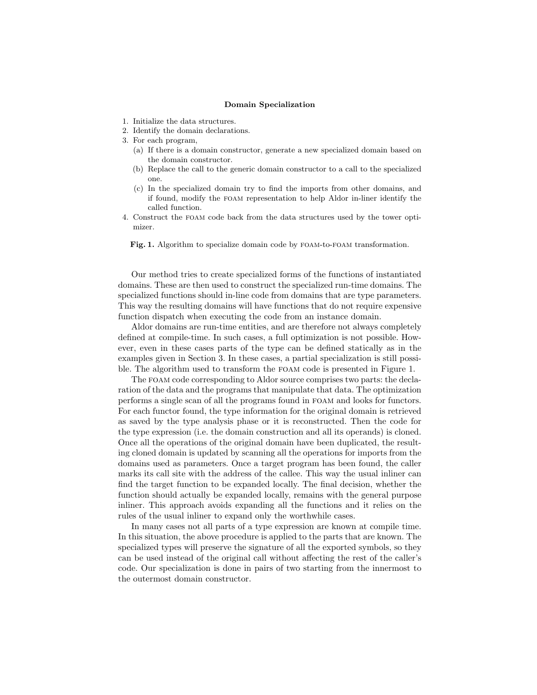#### Domain Specialization

- 1. Initialize the data structures.
- 2. Identify the domain declarations.
- 3. For each program,
	- (a) If there is a domain constructor, generate a new specialized domain based on the domain constructor.
	- (b) Replace the call to the generic domain constructor to a call to the specialized one.
	- (c) In the specialized domain try to find the imports from other domains, and if found, modify the foam representation to help Aldor in-liner identify the called function.
- 4. Construct the foam code back from the data structures used by the tower optimizer.
	- Fig. 1. Algorithm to specialize domain code by FOAM-to-FOAM transformation.

Our method tries to create specialized forms of the functions of instantiated domains. These are then used to construct the specialized run-time domains. The specialized functions should in-line code from domains that are type parameters. This way the resulting domains will have functions that do not require expensive function dispatch when executing the code from an instance domain.

Aldor domains are run-time entities, and are therefore not always completely defined at compile-time. In such cases, a full optimization is not possible. However, even in these cases parts of the type can be defined statically as in the examples given in Section 3. In these cases, a partial specialization is still possible. The algorithm used to transform the foam code is presented in Figure 1.

The foam code corresponding to Aldor source comprises two parts: the declaration of the data and the programs that manipulate that data. The optimization performs a single scan of all the programs found in foam and looks for functors. For each functor found, the type information for the original domain is retrieved as saved by the type analysis phase or it is reconstructed. Then the code for the type expression (i.e. the domain construction and all its operands) is cloned. Once all the operations of the original domain have been duplicated, the resulting cloned domain is updated by scanning all the operations for imports from the domains used as parameters. Once a target program has been found, the caller marks its call site with the address of the callee. This way the usual inliner can find the target function to be expanded locally. The final decision, whether the function should actually be expanded locally, remains with the general purpose inliner. This approach avoids expanding all the functions and it relies on the rules of the usual inliner to expand only the worthwhile cases.

In many cases not all parts of a type expression are known at compile time. In this situation, the above procedure is applied to the parts that are known. The specialized types will preserve the signature of all the exported symbols, so they can be used instead of the original call without affecting the rest of the caller's code. Our specialization is done in pairs of two starting from the innermost to the outermost domain constructor.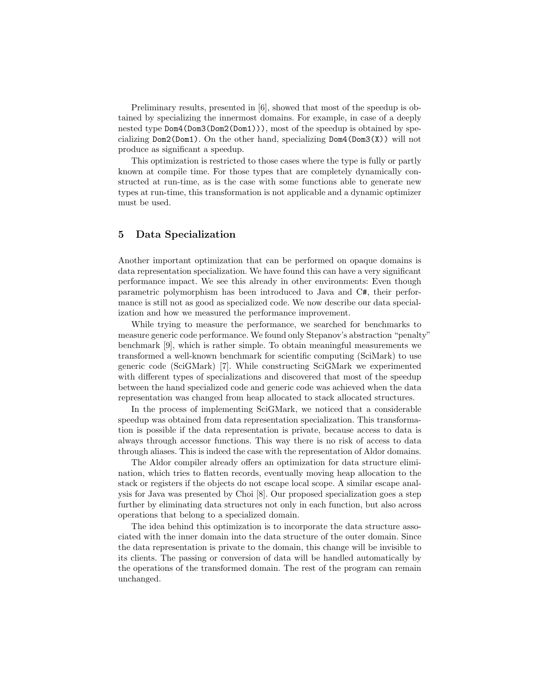Preliminary results, presented in [6], showed that most of the speedup is obtained by specializing the innermost domains. For example, in case of a deeply nested type Dom4(Dom3(Dom2(Dom1))), most of the speedup is obtained by specializing  $Dom2(Dom1)$ . On the other hand, specializing  $Dom4(Dom3(X))$  will not produce as significant a speedup.

This optimization is restricted to those cases where the type is fully or partly known at compile time. For those types that are completely dynamically constructed at run-time, as is the case with some functions able to generate new types at run-time, this transformation is not applicable and a dynamic optimizer must be used.

## 5 Data Specialization

Another important optimization that can be performed on opaque domains is data representation specialization. We have found this can have a very significant performance impact. We see this already in other environments: Even though parametric polymorphism has been introduced to Java and C#, their performance is still not as good as specialized code. We now describe our data specialization and how we measured the performance improvement.

While trying to measure the performance, we searched for benchmarks to measure generic code performance. We found only Stepanov's abstraction "penalty" benchmark [9], which is rather simple. To obtain meaningful measurements we transformed a well-known benchmark for scientific computing (SciMark) to use generic code (SciGMark) [7]. While constructing SciGMark we experimented with different types of specializations and discovered that most of the speedup between the hand specialized code and generic code was achieved when the data representation was changed from heap allocated to stack allocated structures.

In the process of implementing SciGMark, we noticed that a considerable speedup was obtained from data representation specialization. This transformation is possible if the data representation is private, because access to data is always through accessor functions. This way there is no risk of access to data through aliases. This is indeed the case with the representation of Aldor domains.

The Aldor compiler already offers an optimization for data structure elimination, which tries to flatten records, eventually moving heap allocation to the stack or registers if the objects do not escape local scope. A similar escape analysis for Java was presented by Choi [8]. Our proposed specialization goes a step further by eliminating data structures not only in each function, but also across operations that belong to a specialized domain.

The idea behind this optimization is to incorporate the data structure associated with the inner domain into the data structure of the outer domain. Since the data representation is private to the domain, this change will be invisible to its clients. The passing or conversion of data will be handled automatically by the operations of the transformed domain. The rest of the program can remain unchanged.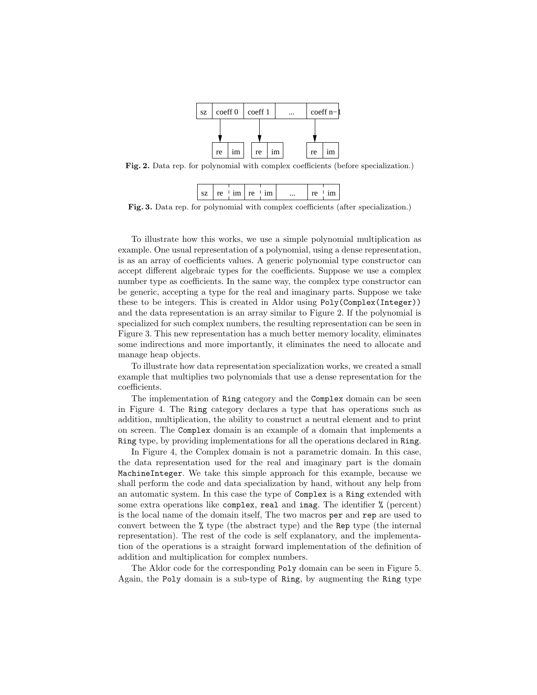

Fig. 2. Data rep. for polynomial with complex coefficients (before specialization.)

| sz $1 \text{ re} \pm \text{im}$<br>l re<br><br>ے ت |  |  |
|----------------------------------------------------|--|--|
|----------------------------------------------------|--|--|

Fig. 3. Data rep. for polynomial with complex coefficients (after specialization.)

To illustrate how this works, we use a simple polynomial multiplication as example. One usual representation of a polynomial, using a dense representation, is as an array of coefficients values. A generic polynomial type constructor can accept different algebraic types for the coefficients. Suppose we use a complex number type as coefficients. In the same way, the complex type constructor can be generic, accepting a type for the real and imaginary parts. Suppose we take these to be integers. This is created in Aldor using Poly(Complex(Integer)) and the data representation is an array similar to Figure 2. If the polynomial is specialized for such complex numbers, the resulting representation can be seen in Figure 3. This new representation has a much better memory locality, eliminates some indirections and more importantly, it eliminates the need to allocate and manage heap objects.

To illustrate how data representation specialization works, we created a small example that multiplies two polynomials that use a dense representation for the coefficients.

The implementation of Ring category and the Complex domain can be seen in Figure 4. The Ring category declares a type that has operations such as addition, multiplication, the ability to construct a neutral element and to print on screen. The Complex domain is an example of a domain that implements a Ring type, by providing implementations for all the operations declared in Ring.

In Figure 4, the Complex domain is not a parametric domain. In this case, the data representation used for the real and imaginary part is the domain MachineInteger. We take this simple approach for this example, because we shall perform the code and data specialization by hand, without any help from an automatic system. In this case the type of Complex is a Ring extended with some extra operations like complex, real and imag. The identifier % (percent) is the local name of the domain itself, The two macros per and rep are used to convert between the % type (the abstract type) and the Rep type (the internal representation). The rest of the code is self explanatory, and the implementation of the operations is a straight forward implementation of the definition of addition and multiplication for complex numbers.

The Aldor code for the corresponding Poly domain can be seen in Figure 5. Again, the Poly domain is a sub-type of Ring, by augmenting the Ring type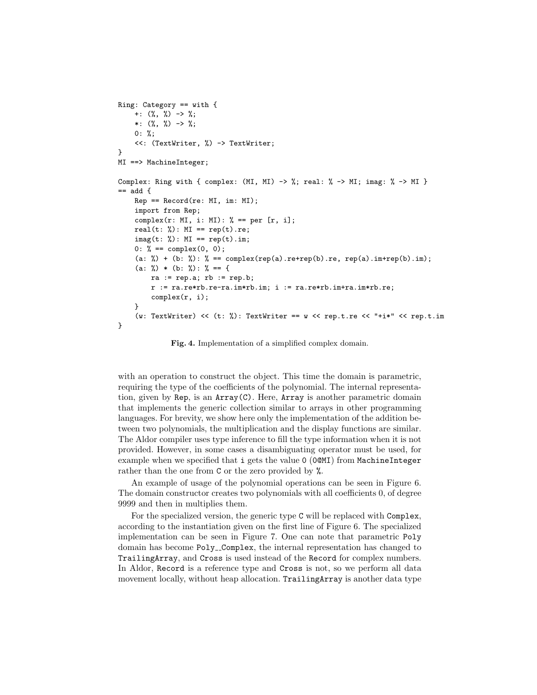```
Ring: Category == with {
    +: (\% , \% ) \rightarrow \% ;*: (\%, \%) \rightarrow \%;0: %;<<: (TextWriter, %) -> TextWriter;
}
MI ==> MachineInteger;
Complex: Ring with { complex: (MI, MI) \rightarrow %; real: % -> MI; imag: % -> MI }
= add \inRep == Record(re: MI, im: MI);import from Rep;
    complex(r: MI, i: MI): \% == per [r, i];
    real(t: \frac{9}{2}): MI == rep(t).re;
    imag(t: %): M = rep(t).im;0: % == complex(0, 0);(a: %) + (b: %): % == \text{complex}(\text{rep}(a).\text{re+rep}(b).\text{re}, \text{rep}(a).\text{im+rep}(b).\text{im});
    (a: %) * (b: %) : % == {ra := rep.a; rb := rep.b;r := ra.re*rb.re-ra.in*rb.in; i := ra.re*rb.in+ra.in*rb.re;complex(r, i);}
    (w: TextWriter) << (t: %): TextWriter == w \ll \text{rep.t.re} \ll 1 + i * w \ll \text{rep.t.im}}
```
Fig. 4. Implementation of a simplified complex domain.

with an operation to construct the object. This time the domain is parametric, requiring the type of the coefficients of the polynomial. The internal representation, given by Rep, is an  $Array(C)$ . Here, Array is another parametric domain that implements the generic collection similar to arrays in other programming languages. For brevity, we show here only the implementation of the addition between two polynomials, the multiplication and the display functions are similar. The Aldor compiler uses type inference to fill the type information when it is not provided. However, in some cases a disambiguating operator must be used, for example when we specified that i gets the value 0 (0@MI) from MachineInteger rather than the one from C or the zero provided by %.

An example of usage of the polynomial operations can be seen in Figure 6. The domain constructor creates two polynomials with all coefficients 0, of degree 9999 and then in multiplies them.

For the specialized version, the generic type C will be replaced with Complex, according to the instantiation given on the first line of Figure 6. The specialized implementation can be seen in Figure 7. One can note that parametric Poly domain has become Poly\_Complex, the internal representation has changed to TrailingArray, and Cross is used instead of the Record for complex numbers. In Aldor, Record is a reference type and Cross is not, so we perform all data movement locally, without heap allocation. TrailingArray is another data type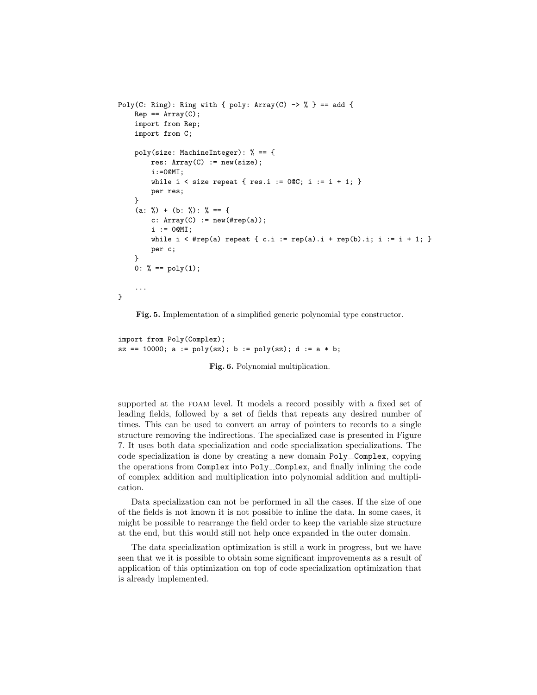```
Poly(C: Ring): Ring with { poly: Array(C) \rightarrow % } == add {
    Rep == Array(C);import from Rep;
    import from C;
    poly(size: MachineInteger): % == {
        res: Array(C) := new(size);
        i:=0@MI;
        while i < size repeat { res.i := 00C; i := i + 1; }
        per res;
    }
    (a: %) + (b: %): % = {c: Array(C) := new(#rep(a));i := 0@MI;
        while i \leq #rep(a) repeat { c.i := rep(a).i + rep(b).i; i := i + 1; }
        per c;
    }
    0: % == poly(1);...
}
```
Fig. 5. Implementation of a simplified generic polynomial type constructor.

```
import from Poly(Complex);
sz == 10000; a := poly(sz); b := poly(sz); d := a * b;
```
Fig. 6. Polynomial multiplication.

supported at the foam level. It models a record possibly with a fixed set of leading fields, followed by a set of fields that repeats any desired number of times. This can be used to convert an array of pointers to records to a single structure removing the indirections. The specialized case is presented in Figure 7. It uses both data specialization and code specialization specializations. The code specialization is done by creating a new domain Poly\_Complex, copying the operations from Complex into Poly\_Complex, and finally inlining the code of complex addition and multiplication into polynomial addition and multiplication.

Data specialization can not be performed in all the cases. If the size of one of the fields is not known it is not possible to inline the data. In some cases, it might be possible to rearrange the field order to keep the variable size structure at the end, but this would still not help once expanded in the outer domain.

The data specialization optimization is still a work in progress, but we have seen that we it is possible to obtain some significant improvements as a result of application of this optimization on top of code specialization optimization that is already implemented.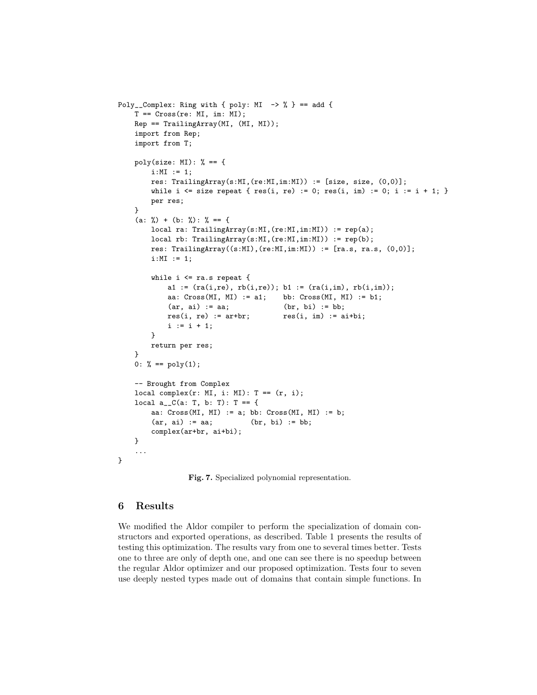```
Poly__Complex: Ring with { poly: MI \rightarrow % } == add {
   T = Cross(re: MI, im: MI);Rep == TrailingArray(MI, (MI, MI));
   import from Rep;
   import from T;
   poly(size: MI): % == {i:MI := 1:
       res: TrailingArray(s:MI,(re:MI,im:MI)) := [size, size, (0,0)];
       while i \leq size repeat { res(i, re) := 0; res(i, im) := 0; i := i + 1; }
       per res;
   }
    (a: %) + (b: %) : % == {local ra: TrailingArray(s:MI,(re:MI,im:MI)) := rep(a);
       local rb: TrailingArray(s:MI,(re:MI,im:MI)) := rep(b);
       res: TrailingArray((s:MI),(re:MI,im:MI)) := [ra.s, ra.s, (0,0)];
       i:MI := 1;while i \leq ra.s repeat {
           a1 := (ra(i, re), rb(i, re)); b1 := (ra(i, im), rb(i, im));aa: Cross(MI, MI) := a1; bb: Cross(MI, MI) := b1;(ar, ai) := aa; (br, bi) := bb;
           res(i, re) := ar+br; res(i, im) := ai+bi;i := i + 1;}
       return per res;
   }
   0: % == poly(1);-- Brought from Complex
   local complex(r: MI, i: MI): T == (r, i);local a_C(C(a: T, b: T): T == {aa: Cross(MI, MI) := a; bb: Cross(MI, MI) := b;
        (ar, ai) := aa; (br, bi) := bb;complex(ar+br, ai+bi);
   }
    ...
}
```
Fig. 7. Specialized polynomial representation.

## 6 Results

We modified the Aldor compiler to perform the specialization of domain constructors and exported operations, as described. Table 1 presents the results of testing this optimization. The results vary from one to several times better. Tests one to three are only of depth one, and one can see there is no speedup between the regular Aldor optimizer and our proposed optimization. Tests four to seven use deeply nested types made out of domains that contain simple functions. In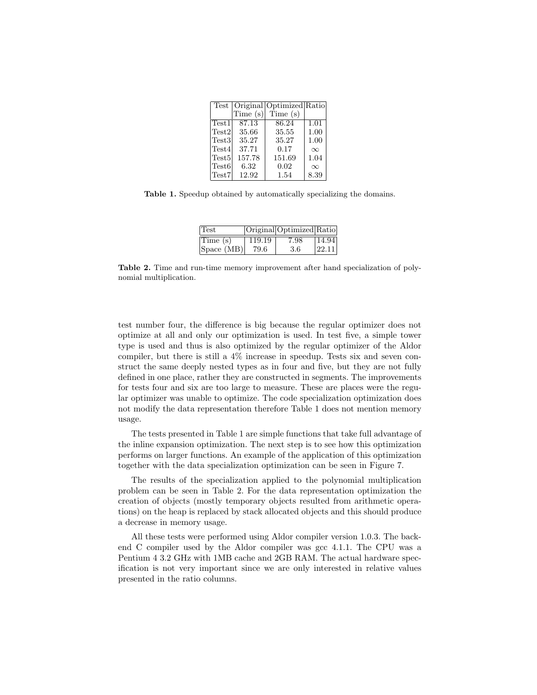| Test              |         | Original Optimized Ratio |          |
|-------------------|---------|--------------------------|----------|
|                   | Time(s) | Time(s)                  |          |
| Test1             | 87.13   | 86.24                    | 1.01     |
| Test2             | 35.66   | 35.55                    | 1.00     |
| Test3             | 35.27   | 35.27                    | 1.00     |
| Test4             | 37.71   | 0.17                     | $\infty$ |
| Test <sub>5</sub> | 157.78  | 151.69                   | 1.04     |
| Test <sub>6</sub> | 6.32    | 0.02                     | $\infty$ |
| Test7             | 12.92   | 1.54                     | 8.39     |

Table 1. Speedup obtained by automatically specializing the domains.

| Test      |        | Original Optimized Ratio |       |
|-----------|--------|--------------------------|-------|
| Time(s)   | 119.19 | 7.98                     | 14.94 |
| Space(MB) | 79.6   | 3.6                      | 22.11 |

Table 2. Time and run-time memory improvement after hand specialization of polynomial multiplication.

test number four, the difference is big because the regular optimizer does not optimize at all and only our optimization is used. In test five, a simple tower type is used and thus is also optimized by the regular optimizer of the Aldor compiler, but there is still a 4% increase in speedup. Tests six and seven construct the same deeply nested types as in four and five, but they are not fully defined in one place, rather they are constructed in segments. The improvements for tests four and six are too large to measure. These are places were the regular optimizer was unable to optimize. The code specialization optimization does not modify the data representation therefore Table 1 does not mention memory usage.

The tests presented in Table 1 are simple functions that take full advantage of the inline expansion optimization. The next step is to see how this optimization performs on larger functions. An example of the application of this optimization together with the data specialization optimization can be seen in Figure 7.

The results of the specialization applied to the polynomial multiplication problem can be seen in Table 2. For the data representation optimization the creation of objects (mostly temporary objects resulted from arithmetic operations) on the heap is replaced by stack allocated objects and this should produce a decrease in memory usage.

All these tests were performed using Aldor compiler version 1.0.3. The backend C compiler used by the Aldor compiler was gcc 4.1.1. The CPU was a Pentium 4 3.2 GHz with 1MB cache and 2GB RAM. The actual hardware specification is not very important since we are only interested in relative values presented in the ratio columns.